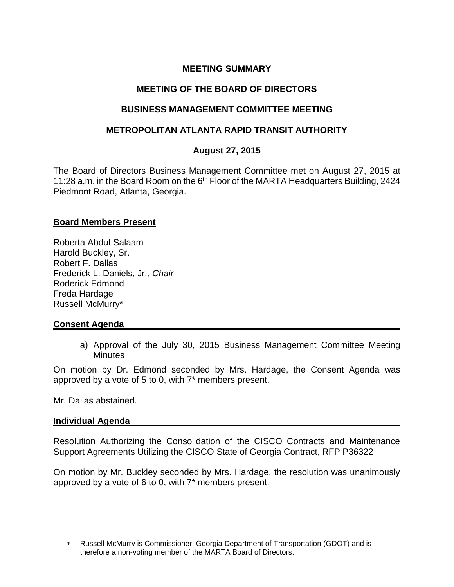# **MEETING SUMMARY**

# **MEETING OF THE BOARD OF DIRECTORS**

## **BUSINESS MANAGEMENT COMMITTEE MEETING**

## **METROPOLITAN ATLANTA RAPID TRANSIT AUTHORITY**

# **August 27, 2015**

The Board of Directors Business Management Committee met on August 27, 2015 at 11:28 a.m. in the Board Room on the 6<sup>th</sup> Floor of the MARTA Headquarters Building, 2424 Piedmont Road, Atlanta, Georgia.

### **Board Members Present**

Roberta Abdul-Salaam Harold Buckley, Sr. Robert F. Dallas Frederick L. Daniels, Jr.*, Chair* Roderick Edmond Freda Hardage Russell McMurry\*

## **Consent Agenda**

a) Approval of the July 30, 2015 Business Management Committee Meeting **Minutes** 

On motion by Dr. Edmond seconded by Mrs. Hardage, the Consent Agenda was approved by a vote of 5 to 0, with 7\* members present.

Mr. Dallas abstained.

#### **Individual Agenda**

Resolution Authorizing the Consolidation of the CISCO Contracts and Maintenance Support Agreements Utilizing the CISCO State of Georgia Contract, RFP P36322

On motion by Mr. Buckley seconded by Mrs. Hardage, the resolution was unanimously approved by a vote of 6 to 0, with 7\* members present.

Russell McMurry is Commissioner, Georgia Department of Transportation (GDOT) and is therefore a non-voting member of the MARTA Board of Directors.